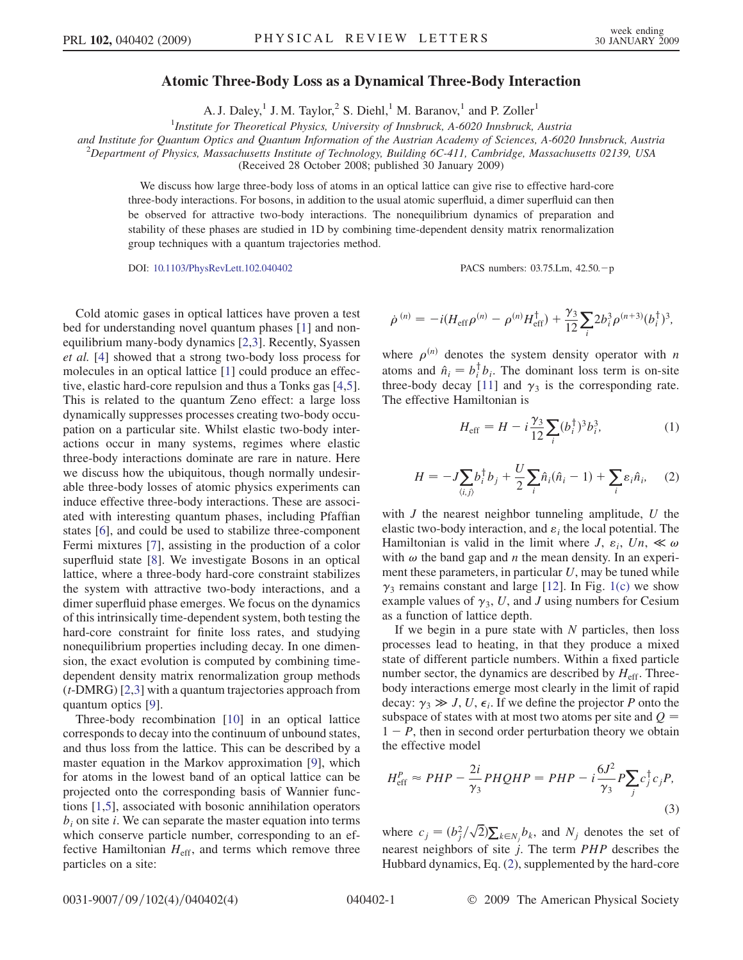## Atomic Three-Body Loss as a Dynamical Three-Body Interaction

A. J. Daley,<sup>1</sup> J. M. Taylor,<sup>2</sup> S. Diehl,<sup>1</sup> M. Baranov,<sup>1</sup> and P. Zoller<sup>1</sup>

<sup>1</sup>Institute for Theoretical Physics, University of Innsbruck, A-6020 Innsbruck, Austria

and Institute for Quantum Optics and Quantum Information of the Austrian Academy of Sciences, A-6020 Innsbruck, Austria <sup>2</sup>

 $^2$ Department of Physics, Massachusetts Institute of Technology, Building 6C-411, Cambridge, Massachusetts 02139, USA

(Received 28 October 2008; published 30 January 2009)

We discuss how large three-body loss of atoms in an optical lattice can give rise to effective hard-core three-body interactions. For bosons, in addition to the usual atomic superfluid, a dimer superfluid can then be observed for attractive two-body interactions. The nonequilibrium dynamics of preparation and stability of these phases are studied in 1D by combining time-dependent density matrix renormalization group techniques with a quantum trajectories method.

DOI: [10.1103/PhysRevLett.102.040402](http://dx.doi.org/10.1103/PhysRevLett.102.040402) PACS numbers: 03.75.Lm, 42.50.p

Cold atomic gases in optical lattices have proven a test bed for understanding novel quantum phases [1] and nonequilibrium many-body dynamics [2,3]. Recently, Syassen et al. [4] showed that a strong two-body loss process for molecules in an optical lattice [1] could produce an effective, elastic hard-core repulsion and thus a Tonks gas [4,5]. This is related to the quantum Zeno effect: a large loss dynamically suppresses processes creating two-body occupation on a particular site. Whilst elastic two-body interactions occur in many systems, regimes where elastic three-body interactions dominate are rare in nature. Here we discuss how the ubiquitous, though normally undesirable three-body losses of atomic physics experiments can induce effective three-body interactions. These are associated with interesting quantum phases, including Pfaffian states [6], and could be used to stabilize three-component Fermi mixtures [7], assisting in the production of a color superfluid state [8]. We investigate Bosons in an optical lattice, where a three-body hard-core constraint stabilizes the system with attractive two-body interactions, and a dimer superfluid phase emerges. We focus on the dynamics of this intrinsically time-dependent system, both testing the hard-core constraint for finite loss rates, and studying nonequilibrium properties including decay. In one dimension, the exact evolution is computed by combining timedependent density matrix renormalization group methods (t-DMRG) [2,3] with a quantum trajectories approach from quantum optics [9].

Three-body recombination [10] in an optical lattice corresponds to decay into the continuum of unbound states, and thus loss from the lattice. This can be described by a master equation in the Markov approximation [9], which for atoms in the lowest band of an optical lattice can be projected onto the corresponding basis of Wannier functions [1,5], associated with bosonic annihilation operators  $b_i$  on site i. We can separate the master equation into terms which conserve particle number, corresponding to an effective Hamiltonian  $H_{\text{eff}}$ , and terms which remove three particles on a site:

$$
\dot{\rho}^{(n)} = -i(H_{\text{eff}}\rho^{(n)} - \rho^{(n)}H_{\text{eff}}^{\dagger}) + \frac{\gamma_3}{12}\sum_{i} 2b_i^3 \rho^{(n+3)}(b_i^{\dagger})^3,
$$

<span id="page-0-0"></span>where  $\rho^{(n)}$  denotes the system density operator with n atoms and  $\hat{n}_i = b_i^{\dagger} b_i$ . The dominant loss term is on-site three-body decay [11] and  $\gamma_3$  is the corresponding rate. The effective Hamiltonian is

$$
H_{\rm eff} = H - i \frac{\gamma_3}{12} \sum_{i} (b_i^{\dagger})^3 b_i^3,
$$
 (1)

$$
H = -J\sum_{\langle i,j\rangle} b_i^{\dagger} b_j + \frac{U}{2} \sum_i \hat{n}_i (\hat{n}_i - 1) + \sum_i \varepsilon_i \hat{n}_i, \quad (2)
$$

with  $J$  the nearest neighbor tunneling amplitude,  $U$  the elastic two-body interaction, and  $\varepsilon_i$  the local potential. The Hamiltonian is valid in the limit where  $J$ ,  $\varepsilon_i$ ,  $Un$ ,  $\ll \omega$ with  $\omega$  the band gap and n the mean density. In an experiment these parameters, in particular  $U$ , may be tuned while  $\gamma_3$  remains constant and large [12]. In Fig. [1\(c\)](#page-1-0) we show example values of  $\gamma_3$ , U, and J using numbers for Cesium as a function of lattice depth.

If we begin in a pure state with  $N$  particles, then loss processes lead to heating, in that they produce a mixed state of different particle numbers. Within a fixed particle number sector, the dynamics are described by  $H_{\text{eff}}$ . Threebody interactions emerge most clearly in the limit of rapid decay:  $\gamma_3 \gg J$ , U,  $\epsilon_i$ . If we define the projector P onto the subspace of states with at most two atoms per site and  $Q =$  $1 - P$ , then in second order perturbation theory we obtain the effective model

<span id="page-0-1"></span>
$$
H_{\text{eff}}^P \approx PHP - \frac{2i}{\gamma_3} PHQHP = PHP - i\frac{6J^2}{\gamma_3} P \sum_j c_j^{\dagger} c_j P,\tag{3}
$$

where  $c_j = (b_j^2/\sqrt{2})\sum_{k \in N_j} b_k$ , and  $N_j$  denotes the set of nearest neighbors of site j. The term PHP describes the Hubbard dynamics, Eq. [\(2\)](#page-0-0), supplemented by the hard-core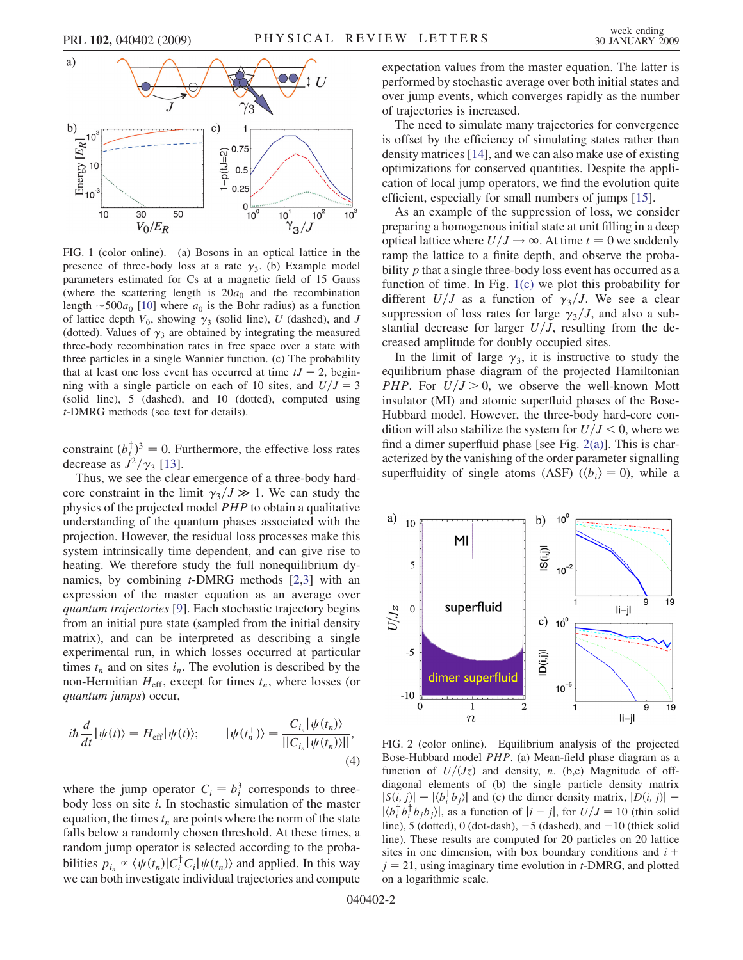<span id="page-1-0"></span>

FIG. 1 (color online). (a) Bosons in an optical lattice in the presence of three-body loss at a rate  $\gamma_3$ . (b) Example model parameters estimated for Cs at a magnetic field of 15 Gauss (where the scattering length is  $20a_0$  and the recombination length  $\sim$  500 $a_0$  [10] where  $a_0$  is the Bohr radius) as a function of lattice depth  $V_0$ , showing  $\gamma_3$  (solid line), U (dashed), and J (dotted). Values of  $\gamma_3$  are obtained by integrating the measured three-body recombination rates in free space over a state with three particles in a single Wannier function. (c) The probability that at least one loss event has occurred at time  $tJ = 2$ , beginning with a single particle on each of 10 sites, and  $U/J = 3$ (solid line), 5 (dashed), and 10 (dotted), computed using t-DMRG methods (see text for details).

constraint  $(b_i^{\dagger})^3 = 0$ . Furthermore, the effective loss rates decrease as  $J^2/\gamma_3$  [13].

Thus, we see the clear emergence of a three-body hardcore constraint in the limit  $\gamma_3 / J \gg 1$ . We can study the physics of the projected model PHP to obtain a qualitative understanding of the quantum phases associated with the projection. However, the residual loss processes make this system intrinsically time dependent, and can give rise to heating. We therefore study the full nonequilibrium dynamics, by combining  $t$ -DMRG methods [2,3] with an expression of the master equation as an average over quantum trajectories [9]. Each stochastic trajectory begins from an initial pure state (sampled from the initial density matrix), and can be interpreted as describing a single experimental run, in which losses occurred at particular times  $t_n$  and on sites  $i_n$ . The evolution is described by the non-Hermitian  $H_{\text{eff}}$ , except for times  $t_n$ , where losses (or quantum jumps) occur,

$$
i\hbar \frac{d}{dt} |\psi(t)\rangle = H_{\text{eff}} |\psi(t)\rangle; \qquad |\psi(t_n^+)\rangle = \frac{C_{i_n} |\psi(t_n)\rangle}{||C_{i_n} |\psi(t_n)\rangle||},\tag{4}
$$

where the jump operator  $C_i = b_i^3$  corresponds to threebody loss on site  $i$ . In stochastic simulation of the master equation, the times  $t_n$  are points where the norm of the state falls below a randomly chosen threshold. At these times, a random jump operator is selected according to the probabilities  $p_{i_n} \propto \langle \psi(t_n) | C_i^{\dagger} C_i | \psi(t_n) \rangle$  and applied. In this way we can both investigate individual trajectories and compute expectation values from the master equation. The latter is performed by stochastic average over both initial states and over jump events, which converges rapidly as the number of trajectories is increased.

The need to simulate many trajectories for convergence is offset by the efficiency of simulating states rather than density matrices [14], and we can also make use of existing optimizations for conserved quantities. Despite the application of local jump operators, we find the evolution quite efficient, especially for small numbers of jumps [15].

As an example of the suppression of loss, we consider preparing a homogenous initial state at unit filling in a deep optical lattice where  $U/J \rightarrow \infty$ . At time  $t = 0$  we suddenly ramp the lattice to a finite depth, and observe the probability *p* that a single three-body loss event has occurred as a function of time. In Fig. 1(c) we plot this probability for different  $U/J$  as a function of  $\gamma_3/J$ . We see a clear suppression of loss rates for large  $\gamma_3/J$ , and also a substantial decrease for larger  $U/J$ , resulting from the decreased amplitude for doubly occupied sites.

In the limit of large  $\gamma_3$ , it is instructive to study the equilibrium phase diagram of the projected Hamiltonian PHP. For  $U/J > 0$ , we observe the well-known Mott insulator (MI) and atomic superfluid phases of the Bose-Hubbard model. However, the three-body hard-core condition will also stabilize the system for  $U/J < 0$ , where we find a dimer superfluid phase [see Fig.  $2(a)$ ]. This is characterized by the vanishing of the order parameter signalling superfluidity of single atoms (ASF) ( $\langle b_i \rangle = 0$ ), while a



FIG. 2 (color online). Equilibrium analysis of the projected Bose-Hubbard model PHP. (a) Mean-field phase diagram as a function of  $U/(Jz)$  and density, n. (b,c) Magnitude of offdiagonal elements of (b) the single particle density matrix  $|S(i, j)| = |\langle b_i^{\dagger} b_j \rangle|$  and (c) the dimer density matrix,  $|D(i, j)| =$  $|\langle b_i^{\dagger} b_i^{\dagger} b_j b_j \rangle|$ , as a function of  $|i - j|$ , for  $U/J = 10$  (thin solid line), 5 (dotted), 0 (dot-dash),  $-5$  (dashed), and  $-10$  (thick solid line). These results are computed for 20 particles on 20 lattice sites in one dimension, with box boundary conditions and  $i +$  $j = 21$ , using imaginary time evolution in t-DMRG, and plotted on a logarithmic scale.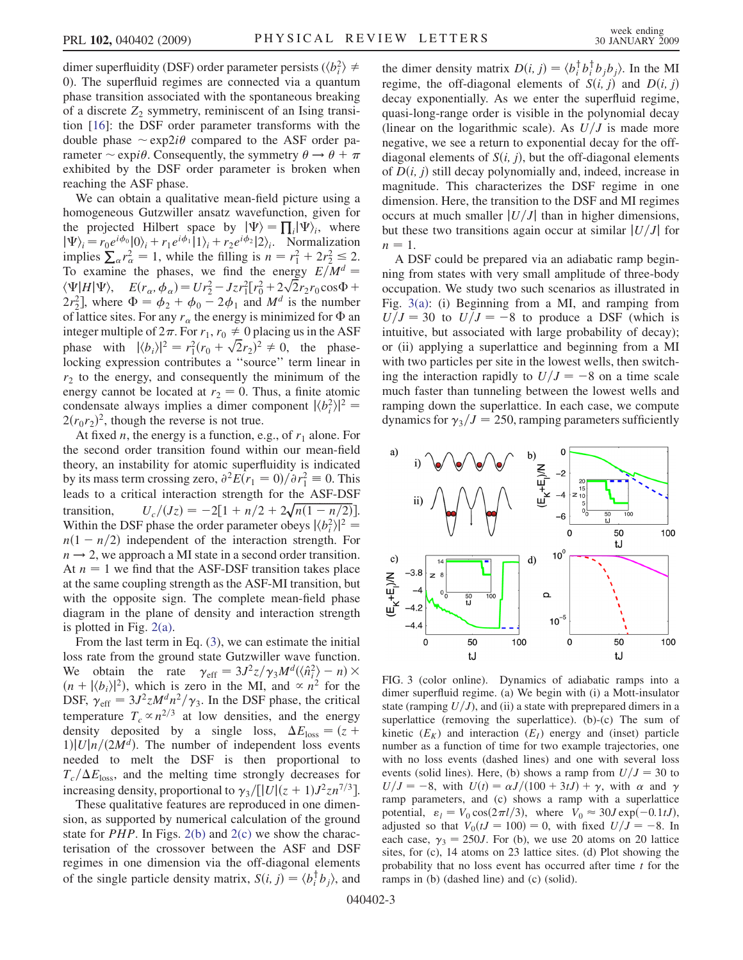<span id="page-2-0"></span>dimer superfluidity (DSF) order parameter persists ( $\langle b_i^2 \rangle \neq$ 0). The superfluid regimes are connected via a quantum phase transition associated with the spontaneous breaking of a discrete  $Z_2$  symmetry, reminiscent of an Ising transition [16]: the DSF order parameter transforms with the double phase  $\sim \exp 2i\theta$  compared to the ASF order parameter  $\sim$  expi $\theta$ . Consequently, the symmetry  $\theta \rightarrow \theta + \pi$ exhibited by the DSF order parameter is broken when reaching the ASF phase.

We can obtain a qualitative mean-field picture using a homogeneous Gutzwiller ansatz wavefunction, given for the projected Hilbert space by  $|\Psi\rangle = \prod_i |\Psi\rangle_i$ , where  $|\Psi\rangle_i = r_0 e^{i\phi_0} |0\rangle_i + r_1 e^{i\phi_1} |1\rangle_i + r_2 e^{i\phi_2} |2\rangle_i$ . Normalization implies  $\sum_{\alpha} r_{\alpha}^2 = 1$ , while the filling is  $n = r_1^2 + 2r_2^2 \le 2$ . To examine the phases, we find the energy  $E/M^d$  =  $\langle \Psi | H | \Psi \rangle$ ,  $E(r_{\alpha}, \phi_{\alpha}) = Ur_2^2 - Jzr_1^2[r_0^2 + 2\sqrt{2}r_2r_0\cos\Phi +$  $(2r_2^2)$ , where  $\Phi = \phi_2 + \phi_0 - 2\phi_1$  and  $M^d$  is the number of lattice sites. For any  $r_{\alpha}$  the energy is minimized for  $\Phi$  an integer multiple of  $2\pi$ . For  $r_1, r_0 \neq 0$  placing us in the ASF phase with  $|\langle b_i \rangle|^2 = r_1^2 (r_0 + \sqrt{2}r_2)^2 \neq 0$ , the phaselocking expression contributes a ''source'' term linear in  $r<sub>2</sub>$  to the energy, and consequently the minimum of the energy cannot be located at  $r_2 = 0$ . Thus, a finite atomic condensate always implies a dimer component  $|\langle b_i^2 \rangle|^2 =$  $2(r_0r_2)^2$ , though the reverse is not true.

At fixed *n*, the energy is a function, e.g., of  $r_1$  alone. For the second order transition found within our mean-field theory, an instability for atomic superfluidity is indicated by its mass term crossing zero,  $\partial^2 E(r_1 = 0)/\partial r_1^2 \equiv 0$ . This leads to a critical interaction strength for the ASF-DSF transition,  $U_c/(Jz) = -2[1 + n/2 + 2\sqrt{n(1 - n/2)}].$ Within the DSF phase the order parameter obeys  $|\langle b_i^2 \rangle|^2 =$  $n(1 - n/2)$  independent of the interaction strength. For  $n \rightarrow 2$ , we approach a MI state in a second order transition. At  $n = 1$  we find that the ASF-DSF transition takes place at the same coupling strength as the ASF-MI transition, but with the opposite sign. The complete mean-field phase diagram in the plane of density and interaction strength is plotted in Fig. [2\(a\).](#page-1-0)

From the last term in Eq. [\(3\)](#page-0-1), we can estimate the initial loss rate from the ground state Gutzwiller wave function. We obtain the rate  $\gamma_{\text{eff}} = 3J^2 z/\gamma_3 M^d (\langle \hat{n}_i^2 \rangle - n) \times$  $(n + |\langle b_i \rangle|^2)$ , which is zero in the MI, and  $\propto n^2$  for the DSF,  $\gamma_{\text{eff}} = 3J^2 z M^d n^2 / \gamma_3$ . In the DSF phase, the critical temperature  $T_c \propto n^{2/3}$  at low densities, and the energy density deposited by a single loss,  $\Delta E_{\text{loss}} = (z +$  $1|U|n/(2M^d)$ . The number of independent loss events needed to melt the DSF is then proportional to  $T_c/\Delta E_{\text{loss}}$ , and the melting time strongly decreases for increasing density, proportional to  $\gamma_3/[\vert U \vert (z + 1) J^2 z n^{7/3}]$ .

These qualitative features are reproduced in one dimension, as supported by numerical calculation of the ground state for *PHP*. In Figs.  $2(b)$  and  $2(c)$  we show the characterisation of the crossover between the ASF and DSF regimes in one dimension via the off-diagonal elements of the single particle density matrix,  $S(i, j) = \langle b_i^{\dagger} b_j \rangle$ , and

the dimer density matrix  $D(i, j) = \langle b_i^{\dagger} b_j^{\dagger} b_j b_j \rangle$ . In the MI regime, the off-diagonal elements of  $S(i, j)$  and  $D(i, j)$ decay exponentially. As we enter the superfluid regime, quasi-long-range order is visible in the polynomial decay (linear on the logarithmic scale). As  $U/J$  is made more negative, we see a return to exponential decay for the offdiagonal elements of  $S(i, j)$ , but the off-diagonal elements of  $D(i, j)$  still decay polynomially and, indeed, increase in magnitude. This characterizes the DSF regime in one dimension. Here, the transition to the DSF and MI regimes occurs at much smaller  $|U/J|$  than in higher dimensions, but these two transitions again occur at similar  $|U/J|$  for  $n = 1$ .

A DSF could be prepared via an adiabatic ramp beginning from states with very small amplitude of three-body occupation. We study two such scenarios as illustrated in Fig. 3(a): (i) Beginning from a MI, and ramping from  $U/J = 30$  to  $U/J = -8$  to produce a DSF (which is intuitive, but associated with large probability of decay); or (ii) applying a superlattice and beginning from a MI with two particles per site in the lowest wells, then switching the interaction rapidly to  $U/J = -8$  on a time scale much faster than tunneling between the lowest wells and ramping down the superlattice. In each case, we compute dynamics for  $\gamma_3/J = 250$ , ramping parameters sufficiently



FIG. 3 (color online). Dynamics of adiabatic ramps into a dimer superfluid regime. (a) We begin with (i) a Mott-insulator state (ramping  $U/J$ ), and (ii) a state with preprepared dimers in a superlattice (removing the superlattice). (b)-(c) The sum of kinetic  $(E_K)$  and interaction  $(E_I)$  energy and (inset) particle number as a function of time for two example trajectories, one with no loss events (dashed lines) and one with several loss events (solid lines). Here, (b) shows a ramp from  $U/J = 30$  to  $U/J = -8$ , with  $U(t) = \alpha J/(100 + 3tJ) + \gamma$ , with  $\alpha$  and  $\gamma$ ramp parameters, and (c) shows a ramp with a superlattice potential,  $\varepsilon_l = V_0 \cos(2\pi l/3)$ , where  $V_0 \approx 30J \exp(-0.1tJ)$ , adjusted so that  $V_0(tJ = 100) = 0$ , with fixed  $U/J = -8$ . In each case,  $\gamma_3 = 250J$ . For (b), we use 20 atoms on 20 lattice sites, for (c), 14 atoms on 23 lattice sites. (d) Plot showing the probability that no loss event has occurred after time  $t$  for the ramps in (b) (dashed line) and (c) (solid).